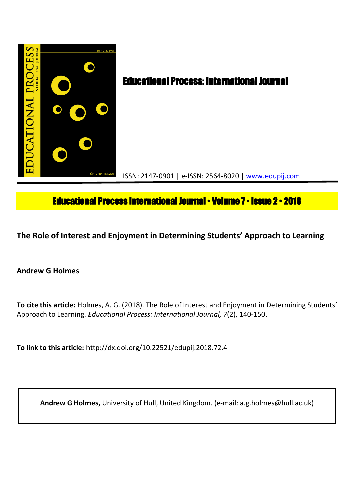

# **Educational Process International Journal • Volume 7 • Issue 2 • 2018**

**The Role of Interest and Enjoyment in Determining Students' Approach to Learning**

**Andrew G Holmes**

**To cite this article:** Holmes, A. G. (2018). The Role of Interest and Enjoyment in Determining Students' Approach to Learning. *Educational Process: International Journal, 7*(2), 140-150.

**To link to this article:** http://dx.doi.org/10.22521/edupij.2018.72.4

**Andrew G Holmes,** University of Hull, United Kingdom. (e-mail: a.g.holmes@hull.ac.uk)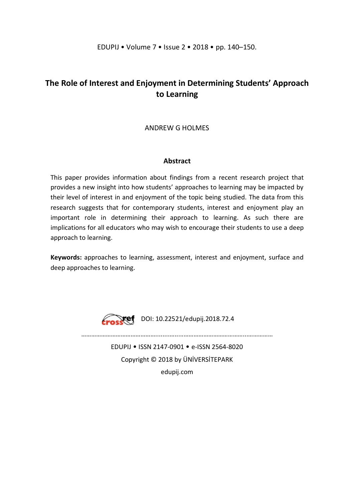## **The Role of Interest and Enjoyment in Determining Students' Approach to Learning**

### ANDREW G HOLMES

### **Abstract**

This paper provides information about findings from a recent research project that provides a new insight into how students' approaches to learning may be impacted by their level of interest in and enjoyment of the topic being studied. The data from this research suggests that for contemporary students, interest and enjoyment play an important role in determining their approach to learning. As such there are implications for all educators who may wish to encourage their students to use a deep approach to learning.

**Keywords:** approaches to learning, assessment, interest and enjoyment, surface and deep approaches to learning.



**Erosstef** DOI: 10.22521/edupij.2018.72.4

………………………………………........….....………………………………...……………

EDUPIJ • ISSN 2147-0901 • e-ISSN 2564-8020 Copyright © 2018 by ÜNİVERSİTEPARK edupij.com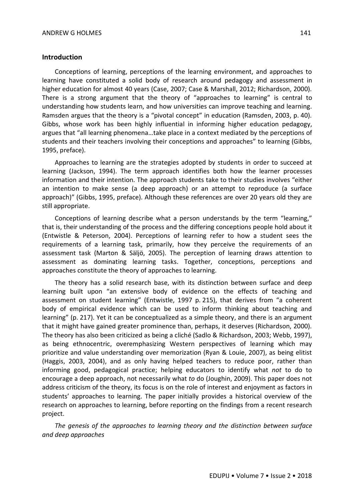#### **Introduction**

Conceptions of learning, perceptions of the learning environment, and approaches to learning have constituted a solid body of research around pedagogy and assessment in higher education for almost 40 years (Case, 2007; Case & Marshall, 2012; Richardson, 2000). There is a strong argument that the theory of "approaches to learning" is central to understanding how students learn, and how universities can improve teaching and learning. Ramsden argues that the theory is a "pivotal concept" in education (Ramsden, 2003, p. 40). Gibbs, whose work has been highly influential in informing higher education pedagogy, argues that "all learning phenomena…take place in a context mediated by the perceptions of students and their teachers involving their conceptions and approaches" to learning (Gibbs, 1995, preface).

Approaches to learning are the strategies adopted by students in order to succeed at learning (Jackson, 1994). The term approach identifies both how the learner processes information and their intention. The approach students take to their studies involves "either an intention to make sense (a deep approach) or an attempt to reproduce (a surface approach)" (Gibbs, 1995, preface). Although these references are over 20 years old they are still appropriate.

Conceptions of learning describe what a person understands by the term "learning," that is, their understanding of the process and the differing conceptions people hold about it (Entwistle & Peterson, 2004). Perceptions of learning refer to how a student sees the requirements of a learning task, primarily, how they perceive the requirements of an assessment task (Marton & Säljö, 2005). The perception of learning draws attention to assessment as dominating learning tasks. Together, conceptions, perceptions and approaches constitute the theory of approaches to learning.

The theory has a solid research base, with its distinction between surface and deep learning built upon "an extensive body of evidence on the effects of teaching and assessment on student learning" (Entwistle, 1997 p. 215), that derives from "a coherent body of empirical evidence which can be used to inform thinking about teaching and learning" (p. 217). Yet it can be conceptualized as a simple theory, and there is an argument that it might have gained greater prominence than, perhaps, it deserves (Richardson, 2000). The theory has also been criticized as being a cliché (Sadlo & Richardson, 2003; Webb, 1997), as being ethnocentric, overemphasizing Western perspectives of learning which may prioritize and value understanding over memorization (Ryan & Louie, 2007), as being elitist (Haggis, 2003, 2004), and as only having helped teachers to reduce poor, rather than informing good, pedagogical practice; helping educators to identify what *not* to do to encourage a deep approach, not necessarily what *to* do (Joughin, 2009). This paper does not address criticism of the theory, its focus is on the role of interest and enjoyment as factors in students' approaches to learning. The paper initially provides a historical overview of the research on approaches to learning, before reporting on the findings from a recent research project.

*The genesis of the approaches to learning theory and the distinction between surface and deep approaches*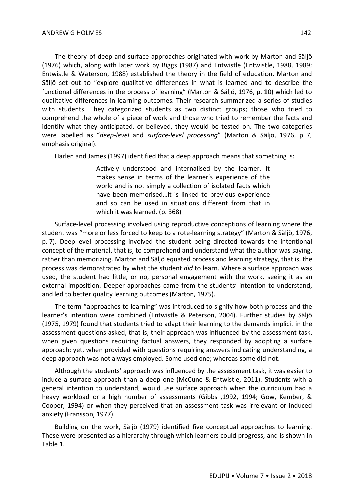The theory of deep and surface approaches originated with work by Marton and Säljö (1976) which, along with later work by Biggs (1987) and Entwistle (Entwistle, 1988, 1989; Entwistle & Waterson, 1988) established the theory in the field of education. Marton and Säljö set out to "explore qualitative differences in what is learned and to describe the functional differences in the process of learning" (Marton & Säljö, 1976, p. 10) which led to qualitative differences in learning outcomes. Their research summarized a series of studies with students. They categorized students as two distinct groups; those who tried to comprehend the whole of a piece of work and those who tried to remember the facts and identify what they anticipated, or believed, they would be tested on. The two categories were labelled as "*deep-level* and *surface-level processing*" (Marton & Säljö, 1976, p. 7, emphasis original).

Harlen and James (1997) identified that a deep approach means that something is:

Actively understood and internalised by the learner. It makes sense in terms of the learner's experience of the world and is not simply a collection of isolated facts which have been memorised…it is linked to previous experience and so can be used in situations different from that in which it was learned. (p. 368)

Surface-level processing involved using reproductive conceptions of learning where the student was "more or less forced to keep to a rote-learning strategy" (Marton & Säljö, 1976, p. 7). Deep-level processing involved the student being directed towards the intentional concept of the material, that is, to comprehend and understand what the author was saying, rather than memorizing. Marton and Säljö equated process and learning strategy, that is, the process was demonstrated by what the student *did* to learn. Where a surface approach was used, the student had little, or no, personal engagement with the work, seeing it as an external imposition. Deeper approaches came from the students' intention to understand, and led to better quality learning outcomes (Marton, 1975).

The term "approaches to learning" was introduced to signify how both process and the learner's intention were combined (Entwistle & Peterson, 2004). Further studies by Säljö (1975, 1979) found that students tried to adapt their learning to the demands implicit in the assessment questions asked, that is, their approach was influenced by the assessment task, when given questions requiring factual answers, they responded by adopting a surface approach; yet, when provided with questions requiring answers indicating understanding, a deep approach was not always employed. Some used one; whereas some did not.

Although the students' approach was influenced by the assessment task, it was easier to induce a surface approach than a deep one (McCune & Entwistle, 2011). Students with a general intention to understand, would use surface approach when the curriculum had a heavy workload or a high number of assessments (Gibbs ,1992, 1994; Gow, Kember, & Cooper, 1994) or when they perceived that an assessment task was irrelevant or induced anxiety (Fransson, 1977).

Building on the work, Säljö (1979) identified five conceptual approaches to learning. These were presented as a hierarchy through which learners could progress, and is shown in Table 1.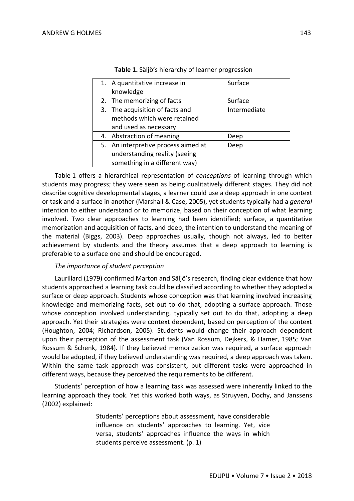| 1. A quantitative increase in       | Surface      |
|-------------------------------------|--------------|
| knowledge                           |              |
| 2. The memorizing of facts          | Surface      |
| 3. The acquisition of facts and     | Intermediate |
| methods which were retained         |              |
| and used as necessary               |              |
| 4. Abstraction of meaning           | Deep         |
| 5. An interpretive process aimed at | Deep         |
| understanding reality (seeing       |              |
| something in a different way)       |              |

|  | Table 1. Säljö's hierarchy of learner progression |  |
|--|---------------------------------------------------|--|
|--|---------------------------------------------------|--|

Table 1 offers a hierarchical representation of *conceptions* of learning through which students may progress; they were seen as being qualitatively different stages. They did not describe cognitive developmental stages, a learner could use a deep approach in one context or task and a surface in another (Marshall & Case, 2005), yet students typically had a *general* intention to either understand or to memorize, based on their conception of what learning involved. Two clear approaches to learning had been identified; surface, a quantitative memorization and acquisition of facts, and deep, the intention to understand the meaning of the material (Biggs, 2003). Deep approaches usually, though not always, led to better achievement by students and the theory assumes that a deep approach to learning is preferable to a surface one and should be encouraged.

#### *The importance of student perception*

Laurillard (1979) confirmed Marton and Säljö's research, finding clear evidence that how students approached a learning task could be classified according to whether they adopted a surface or deep approach. Students whose conception was that learning involved increasing knowledge and memorizing facts, set out to do that, adopting a surface approach. Those whose conception involved understanding, typically set out to do that, adopting a deep approach. Yet their strategies were context dependent, based on perception of the context (Houghton, 2004; Richardson, 2005). Students would change their approach dependent upon their perception of the assessment task (Van Rossum, Dejkers, & Hamer, 1985; Van Rossum & Schenk, 1984). If they believed memorization was required, a surface approach would be adopted, if they believed understanding was required, a deep approach was taken. Within the same task approach was consistent, but different tasks were approached in different ways, because they perceived the requirements to be different.

Students' perception of how a learning task was assessed were inherently linked to the learning approach they took. Yet this worked both ways, as Struyven, Dochy, and Janssens (2002) explained:

> Students' perceptions about assessment, have considerable influence on students' approaches to learning. Yet, vice versa, students' approaches influence the ways in which students perceive assessment. (p. 1)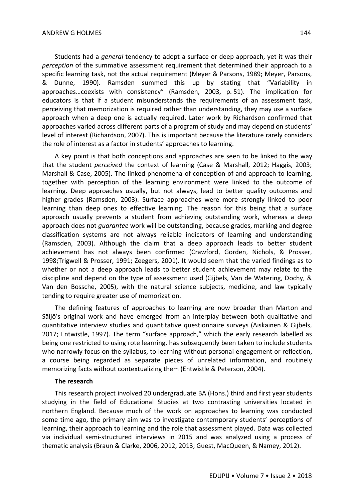Students had a *general* tendency to adopt a surface or deep approach, yet it was their *perception* of the summative assessment requirement that determined their approach to a specific learning task, not the actual requirement (Meyer & Parsons, 1989; Meyer, Parsons, & Dunne, 1990). Ramsden summed this up by stating that "Variability in approaches…coexists with consistency" (Ramsden, 2003, p. 51). The implication for educators is that if a student misunderstands the requirements of an assessment task, perceiving that memorization is required rather than understanding, they may use a surface approach when a deep one is actually required. Later work by Richardson confirmed that approaches varied across different parts of a program of study and may depend on students' level of interest (Richardson, 2007). This is important because the literature rarely considers the role of interest as a factor in students' approaches to learning.

A key point is that both conceptions and approaches are seen to be linked to the way that the student *perceived* the context of learning (Case & Marshall, 2012; Haggis, 2003; Marshall & Case, 2005). The linked phenomena of conception of and approach to learning, together with perception of the learning environment were linked to the outcome of learning. Deep approaches usually, but not always, lead to better quality outcomes and higher grades (Ramsden, 2003). Surface approaches were more strongly linked to poor learning than deep ones to effective learning. The reason for this being that a surface approach usually prevents a student from achieving outstanding work, whereas a deep approach does not *guarantee* work will be outstanding, because grades, marking and degree classification systems are not always reliable indicators of learning and understanding (Ramsden, 2003). Although the claim that a deep approach leads to better student achievement has not always been confirmed (Crawford, Gorden, Nichols, & Prosser, 1998;Trigwell & Prosser, 1991; Zeegers, 2001). It would seem that the varied findings as to whether or not a deep approach leads to better student achievement may relate to the discipline and depend on the type of assessment used (Gijbels, Van de Watering, Dochy, & Van den Bossche, 2005), with the natural science subjects, medicine, and law typically tending to require greater use of memorization.

The defining features of approaches to learning are now broader than Marton and Säljö's original work and have emerged from an interplay between both qualitative and quantitative interview studies and quantitative questionnaire surveys (Aiskainen & Gijbels, 2017; Entwistle, 1997). The term "surface approach," which the early research labelled as being one restricted to using rote learning, has subsequently been taken to include students who narrowly focus on the syllabus, to learning without personal engagement or reflection, a course being regarded as separate pieces of unrelated information, and routinely memorizing facts without contextualizing them (Entwistle & Peterson, 2004).

#### **The research**

This research project involved 20 undergraduate BA (Hons.) third and first year students studying in the field of Educational Studies at two contrasting universities located in northern England. Because much of the work on approaches to learning was conducted some time ago, the primary aim was to investigate contemporary students' perceptions of learning, their approach to learning and the role that assessment played. Data was collected via individual semi-structured interviews in 2015 and was analyzed using a process of thematic analysis (Braun & Clarke, 2006, 2012, 2013; Guest, MacQueen, & Namey, 2012).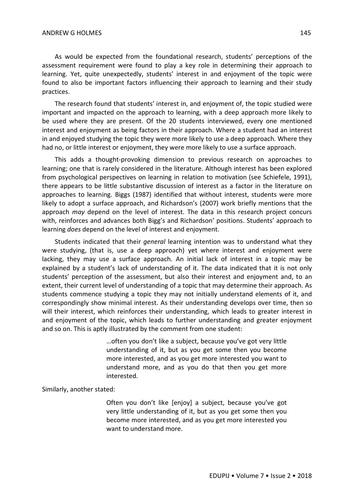As would be expected from the foundational research, students' perceptions of the assessment requirement were found to play a key role in determining their approach to learning. Yet, quite unexpectedly, students' interest in and enjoyment of the topic were found to also be important factors influencing their approach to learning and their study practices.

The research found that students' interest in, and enjoyment of, the topic studied were important and impacted on the approach to learning, with a deep approach more likely to be used where they are present. Of the 20 students interviewed, every one mentioned interest and enjoyment as being factors in their approach. Where a student had an interest in and enjoyed studying the topic they were more likely to use a deep approach. Where they had no, or little interest or enjoyment, they were more likely to use a surface approach.

This adds a thought-provoking dimension to previous research on approaches to learning; one that is rarely considered in the literature. Although interest has been explored from psychological perspectives on learning in relation to motivation (see Schiefele, 1991), there appears to be little substantive discussion of interest as a factor in the literature on approaches to learning. Biggs (1987) identified that without interest, students were more likely to adopt a surface approach, and Richardson's (2007) work briefly mentions that the approach *may* depend on the level of interest. The data in this research project concurs with, reinforces and advances both Bigg's and Richardson' positions. Students' approach to learning *does* depend on the level of interest and enjoyment.

Students indicated that their *general* learning intention was to understand what they were studying, (that is, use a deep approach) yet where interest and enjoyment were lacking, they may use a surface approach. An initial lack of interest in a topic may be explained by a student's lack of understanding of it. The data indicated that it is not only students' perception of the assessment, but also their interest and enjoyment and, to an extent, their current level of understanding of a topic that may determine their approach. As students commence studying a topic they may not initially understand elements of it, and correspondingly show minimal interest. As their understanding develops over time, then so will their interest, which reinforces their understanding, which leads to greater interest in and enjoyment of the topic, which leads to further understanding and greater enjoyment and so on. This is aptly illustrated by the comment from one student:

> …often you don't like a subject, because you've got very little understanding of it, but as you get some then you become more interested, and as you get more interested you want to understand more, and as you do that then you get more interested.

Similarly, another stated:

Often you don't like [enjoy] a subject, because you've got very little understanding of it, but as you get some then you become more interested, and as you get more interested you want to understand more.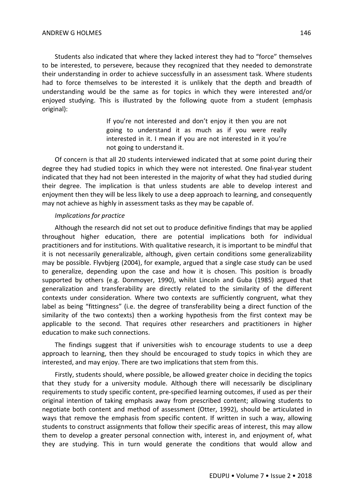Students also indicated that where they lacked interest they had to "force" themselves to be interested, to persevere, because they recognized that they needed to demonstrate their understanding in order to achieve successfully in an assessment task. Where students had to force themselves to be interested it is unlikely that the depth and breadth of understanding would be the same as for topics in which they were interested and/or enjoyed studying. This is illustrated by the following quote from a student (emphasis original):

> If you're not interested and don't enjoy it then you are not going to understand it as much as if you were really interested in it. I mean if you are not interested in it you're not going to understand it.

Of concern is that all 20 students interviewed indicated that at some point during their degree they had studied topics in which they were not interested. One final-year student indicated that they had not been interested in the majority of what they had studied during their degree. The implication is that unless students are able to develop interest and enjoyment then they will be less likely to use a deep approach to learning, and consequently may not achieve as highly in assessment tasks as they may be capable of.

#### *Implications for practice*

Although the research did not set out to produce definitive findings that may be applied throughout higher education, there are potential implications both for individual practitioners and for institutions. With qualitative research, it is important to be mindful that it is not necessarily generalizable, although, given certain conditions some generalizability may be possible. Flyvbjerg (2004), for example, argued that a single case study can be used to generalize, depending upon the case and how it is chosen. This position is broadly supported by others (e.g. Donmoyer, 1990), whilst Lincoln and Guba (1985) argued that generalization and transferability are directly related to the similarity of the different contexts under consideration. Where two contexts are sufficiently congruent, what they label as being "fittingness" (i.e. the degree of transferability being a direct function of the similarity of the two contexts) then a working hypothesis from the first context may be applicable to the second. That requires other researchers and practitioners in higher education to make such connections.

The findings suggest that if universities wish to encourage students to use a deep approach to learning, then they should be encouraged to study topics in which they are interested, and may enjoy. There are two implications that stem from this.

Firstly, students should, where possible, be allowed greater choice in deciding the topics that they study for a university module. Although there will necessarily be disciplinary requirements to study specific content, pre-specified learning outcomes, if used as per their original intention of taking emphasis away from prescribed content; allowing students to negotiate both content and method of assessment (Otter, 1992), should be articulated in ways that remove the emphasis from specific content. If written in such a way, allowing students to construct assignments that follow their specific areas of interest, this may allow them to develop a greater personal connection with, interest in, and enjoyment of, what they are studying. This in turn would generate the conditions that would allow and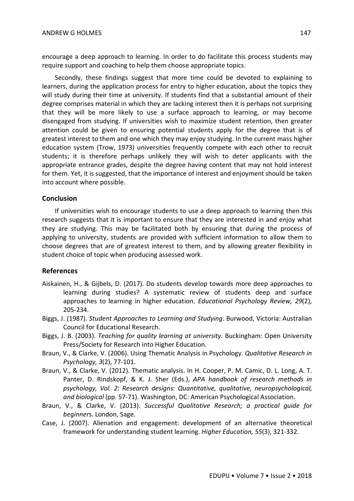encourage a deep approach to learning. In order to do facilitate this process students may require support and coaching to help them choose appropriate topics.

Secondly, these findings suggest that more time could be devoted to explaining to learners, during the application process for entry to higher education, about the topics they will study during their time at university. If students find that a substantial amount of their degree comprises material in which they are lacking interest then it is perhaps not surprising that they will be more likely to use a surface approach to learning, or may become disengaged from studying. If universities wish to maximize student retention, then greater attention could be given to ensuring potential students apply for the degree that is of greatest interest to them and one which they may enjoy studying. In the current mass higher education system (Trow, 1973) universities frequently compete with each other to recruit students; it is therefore perhaps unlikely they will wish to deter applicants with the appropriate entrance grades, despite the degree having content that may not hold interest for them. Yet, it is suggested, that the importance of interest and enjoyment should be taken into account where possible.

#### **Conclusion**

If universities wish to encourage students to use a deep approach to learning then this research suggests that it is important to ensure that they are interested in and enjoy what they are studying. This may be facilitated both by ensuring that during the process of applying to university, students are provided with sufficient information to allow them to choose degrees that are of greatest interest to them, and by allowing greater flexibility in student choice of topic when producing assessed work.

#### **References**

- Aiskainen, H., & Gijbels, D. (2017). Do students develop towards more deep approaches to learning during studies? A systematic review of students deep and surface approaches to learning in higher education. *Educational Psychology Review, 29*(2), 205-234.
- Biggs, J. (1987). *Student Approaches to Learning and Studying*. Burwood, Victoria: Australian Council for Educational Research.
- Biggs, J. B. (2003). *Teaching for quality learning at university*. Buckingham: Open University Press/Society for Research into Higher Education.
- Braun, V., & Clarke, V. (2006). Using Thematic Analysis in Psychology. *Qualitative Research in Psychology, 3*(2), 77-101.
- Braun, V., & Clarke, V. (2012). Thematic analysis. In H. Cooper, P. M. Camic, D. L. Long, A. T. Panter, D. Rindskopf, & K. J. Sher (Eds.), *APA handbook of research methods in psychology, Vol. 2: Research designs: Quantitative, qualitative, neuropsychological, and biological* (pp. 57-71). Washington, DC: American Psychological Association.
- Braun, V., & Clarke, V. (2013). *Successful Qualitative Research; a practical guide for beginner*s. London, Sage.
- Case, J. (2007). Alienation and engagement: development of an alternative theoretical framework for understanding student learning. *Higher Education, 55*(3), 321-332.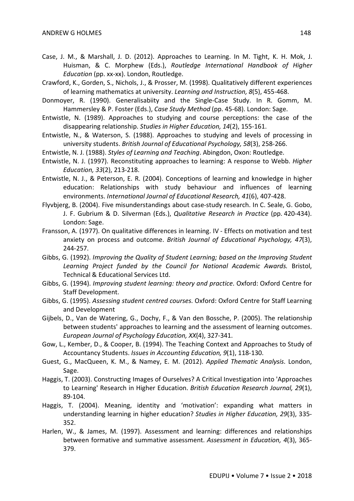- Case, J. M., & Marshall, J. D. (2012). Approaches to Learning. In M. Tight, K. H. Mok, J. Huisman, & C. Morphew (Eds.), *Routledge International Handbook of Higher Education* (pp. xx-xx). London, Routledge.
- Crawford, K., Gorden, S., Nichols, J., & Prosser, M. (1998). Qualitatively different experiences of learning mathematics at university. *Learning and Instruction, 8*(5), 455-468.
- Donmoyer, R. (1990). Generalisabiity and the Single-Case Study. In R. Gomm, M. Hammersley & P. Foster (Eds.), *Case Study Method* (pp. 45-68). London: Sage.
- Entwistle, N. (1989). Approaches to studying and course perceptions: the case of the disappearing relationship. *Studies in Higher Education, 14*(2), 155-161.
- Entwistle, N., & Waterson, S. (1988). Approaches to studying and levels of processing in university students. *British Journal of Educational Psychology, 58*(3), 258-266.
- Entwistle, N. J. (1988). *Styles of Learning and Teaching*. Abingdon, Oxon: Routledge.
- Entwistle, N. J. (1997). Reconstituting approaches to learning: A response to Webb. *Higher Education, 33*(2), 213-218.
- Entwistle, N. J., & Peterson, E. R. (2004). Conceptions of learning and knowledge in higher education: Relationships with study behaviour and influences of learning environments. *International Journal of Educational Research, 41*(6), 407-428.
- Flyvbjerg, B. (2004). Five misunderstandings about case-study research. In C. Seale, G. Gobo, J. F. Gubrium & D. Silverman (Eds.), *Qualitative Research in Practice* (pp. 420-434). London: Sage.
- Fransson, A. (1977). On qualitative differences in learning. IV Effects on motivation and test anxiety on process and outcome. *British Journal of Educational Psychology, 47*(3), 244-257.
- Gibbs, G. (1992). *Improving the Quality of Student Learning; based on the Improving Student Learning Project funded by the Council for National Academic Awards.* Bristol, Technical & Educational Services Ltd.
- Gibbs, G. (1994). *Improving student learning: theory and practice*. Oxford: Oxford Centre for Staff Development.
- Gibbs, G. (1995). *Assessing student centred courses*. Oxford: Oxford Centre for Staff Learning and Development
- Gijbels, D., Van de Watering, G., Dochy, F., & Van den Bossche, P. (2005). The relationship between students' approaches to learning and the assessment of learning outcomes. *European Journal of Psychology Education, XX*(4), 327-341.
- Gow, L., Kember, D., & Cooper, B. (1994). The Teaching Context and Approaches to Study of Accountancy Students. *Issues in Accounting Education, 9*(1), 118-130.
- Guest, G., MacQueen, K. M., & Namey, E. M. (2012). *Applied Thematic Analysis*. London, Sage.
- Haggis, T. (2003). Constructing Images of Ourselves? A Critical Investigation into 'Approaches to Learning' Research in Higher Education. *British Education Research Journal, 29*(1), 89-104.
- Haggis, T. (2004). Meaning, identity and 'motivation': expanding what matters in understanding learning in higher education? *Studies in Higher Education, 29*(3), 335- 352.
- Harlen, W., & James, M. (1997). Assessment and learning: differences and relationships between formative and summative assessment. *Assessment in Education, 4*(3), 365- 379.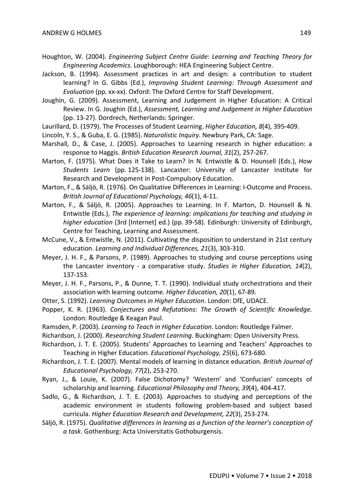- Houghton, W. (2004). *Engineering Subject Centre Guide: Learning and Teaching Theory for Engineering Academics*. Loughborough: HEA Engineering Subject Centre.
- Jackson, B. (1994). Assessment practices in art and design: a contribution to student learning? In G. Gibbs (Ed.), *Improving Student Learning: Through Assessment and Evaluation* (pp. xx-xx). Oxford: The Oxford Centre for Staff Development.
- Joughin, G. (2009). Assessment, Learning and Judgement in Higher Education: A Critical Review. In G. Joughin (Ed.), *Assessment, Learning and Judgement in Higher Education* (pp. 13-27). Dordrech, Netherlands: Springer.
- Laurillard, D. (1979). The Processes of Student Learning. *Higher Education, 8*(4), 395-409.
- Lincoln, Y. S., & Guba, E. G. (1985). *Naturalistic Inquiry*. Newbury Park, CA: Sage.
- Marshall, D., & Case, J. (2005). Approaches to Learning research in higher education: a response to Haggis. *British Education Research Journal, 31*(2), 257-267.
- Marton, F. (1975). What Does it Take to Learn? In N. Entwistle & D. Hounsell (Eds.), *How Students Learn* (pp. 125-138). Lancaster: University of Lancaster Institute for Research and Development in Post-Compulsory Education.
- Marton, F., & Säljö, R. (1976). On Qualitative Differences in Learning: I-Outcome and Process. *British Journal of Educational Psychology, 46*(1), 4-11.
- Marton, F., & Säljö, R. (2005). Approaches to Learning. In F. Marton, D. Hounsell & N. Entwistle (Eds.), *The experience of learning: implications for teaching and studying in higher education* (3rd [Internet] ed.) (pp. 39-58). Edinburgh: University of Edinburgh, Centre for Teaching, Learning and Assessment.
- McCune, V., & Entwistle, N. (2011). Cultivating the disposition to understand in 21st century education. *Learning and Individual Differences, 21*(3), 303-310.
- Meyer, J. H. F., & Parsons, P. (1989). Approaches to studying and course perceptions using the Lancaster inventory - a comparative study. *Studies in Higher Education, 14*(2), 137-153.
- Meyer, J. H. F., Parsons, P., & Dunne, T. T. (1990). Individual study orchestrations and their association with learning outcome. *Higher Education, 20*(1), 67-89.
- Otter, S. (1992). *Learning Outcomes in Higher Education*. London: DfE, UDACE.
- Popper, K. R. (1963). *Conjectures and Refutations: The Growth of Scientific Knowledge*. London: Routledge & Keagan Paul.
- Ramsden, P. (2003). *Learning to Teach in Higher Education*. London: Routledge Falmer.
- Richardson, J. (2000). *Researching Student Learning*. Buckingham: Open University Press.
- Richardson, J. T. E. (2005). Students' Approaches to Learning and Teachers' Approaches to Teaching in Higher Education. *Educational Psychology, 25*(6), 673-680.
- Richardson, J. T. E. (2007). Mental models of learning in distance education. *British Journal of Educational Psychology, 77*(2), 253-270.
- Ryan, J., & Louie, K. (2007). False Dichotomy? 'Western' and 'Confucian' concepts of scholarship and learning. *Educational Philosophy and Theory, 39*(4), 404-417.
- Sadlo, G., & Richardson, J. T. E. (2003). Approaches to studying and perceptions of the academic environment in students following problem-based and subject based curricula. *Higher Education Research and Development, 22*(3), 253-274.
- Säljö, R. (1975). *Qualitative differences in learning as a function of the learner's conception of a task*. Gothenburg: Acta Universitatis Gothoburgensis.